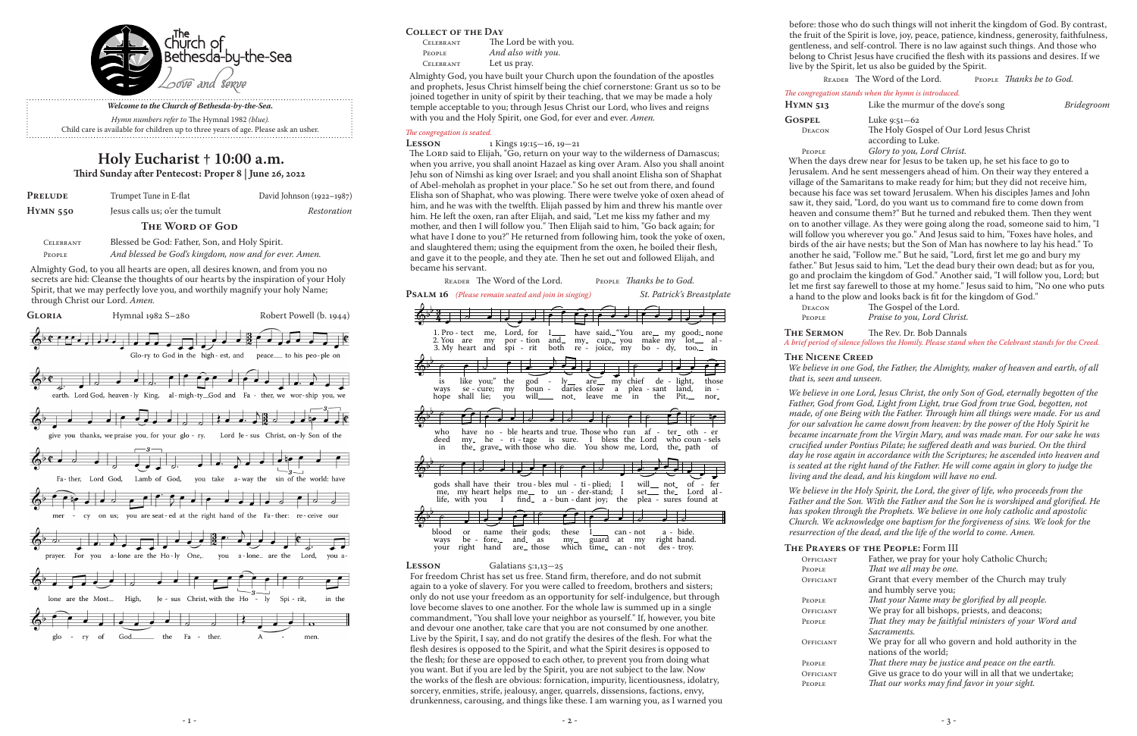The Lord be with you. People *And also with you.* Celebrant Let us pray.

Almighty God, you have built your Church upon the foundation of the apostles and prophets, Jesus Christ himself being the chief cornerstone: Grant us so to be joined together in unity of spirit by their teaching, that we may be made a holy temple acceptable to you; through Jesus Christ our Lord, who lives and reigns with you and the Holy Spirit, one God, for ever and ever. *Amen.*

## *The congregation is seated.*

**LESSON** 1 Kings 19:15-16, 19-21

The LORD said to Elijah, "Go, return on your way to the wilderness of Damascus; when you arrive, you shall anoint Hazael as king over Aram. Also you shall anoint Jehu son of Nimshi as king over Israel; and you shall anoint Elisha son of Shaphat of Abel-meholah as prophet in your place." So he set out from there, and found Elisha son of Shaphat, who was plowing. There were twelve yoke of oxen ahead of him, and he was with the twelfth. Elijah passed by him and threw his mantle over him. He left the oxen, ran after Elijah, and said, "Let me kiss my father and my mother, and then I will follow you." Then Elijah said to him, "Go back again; for what have I done to you?" He returned from following him, took the yoke of oxen, and slaughtered them; using the equipment from the oxen, he boiled their flesh, and gave it to the people, and they ate. Then he set out and followed Elijah, and became his servant.

**PSALM 16** *(Please remain seated and join in singing)* 

READER The Word of the Lord. PEOPLE *Thanks be to God.* PEOPLE Thanks be to God. St. Patrick's Breastplate



#### **LESSON** Galatians 5:1,13-25

The before: those who do such things will not inherit the kingdom of God. By contrast,<br>The fruit of the Spirit is love, joy, peace, patience, kindness, generosity, faithfulness, gentleness, and self-control. There is no law against such things. And those who belong to Christ Jesus have crucified the flesh with its passions and desires. If we live by the Spirit, let us also be guided by the Spirit.

> **GOSPEL** Luke 9:51-62<br>DEACON The Holy Gos The Holy Gospel of Our Lord Jesus Christ according to Luke.

For freedom Christ has set us free. Stand firm, therefore, and do not submit again to a yoke of slavery. For you were called to freedom, brothers and sisters; only do not use your freedom as an opportunity for self-indulgence, but through love become slaves to one another. For the whole law is summed up in a single commandment, "You shall love your neighbor as yourself." If, however, you bite and devour one another, take care that you are not consumed by one another. Live by the Spirit, I say, and do not gratify the desires of the flesh. For what the flesh desires is opposed to the Spirit, and what the Spirit desires is opposed to the flesh; for these are opposed to each other, to prevent you from doing what you want. But if you are led by the Spirit, you are not subject to the law. Now the works of the flesh are obvious: fornication, impurity, licentiousness, idolatry, sorcery, enmities, strife, jealousy, anger, quarrels, dissensions, factions, envy, drunkenness, carousing, and things like these. I am warning you, as I warned you

| PRELUDE    | Trumpet Tune in E-flat          | David Johnson (1922-1987) |
|------------|---------------------------------|---------------------------|
| $HYMN$ 550 | Jesus calls us; o'er the tumult | Restoration               |
|            | THE WORD OF GOD                 |                           |

Celebrant Blessed be God: Father, Son, and Holy Spirit.

People *And blessed be God's kingdom, now and for ever. Amen.*

Almighty God, to you all hearts are open, all desires known, and from you no secrets are hid: Cleanse the thoughts of our hearts by the inspiration of your Holy Spirit, that we may perfectly love you, and worthily magnify your holy Name; through Christ our Lord. *Amen.*



# **COLLECT OF THE DAY**<br>CELEBRANT The

## *Welcome to the Church of Bethesda-by-the-Sea. Hymn numbers refer to* The Hymnal 1982 *(blue).*

Child care is available for children up to three years of age. Please ask an usher.



Reader The Word of the Lord. People *Thanks be to God.*

PEOPLE *Glory to you, Lord Christ.* When the days drew near for Jesus to be taken up, he set his face to go to Jerusalem. And he sent messengers ahead of him. On their way they entered a village of the Samaritans to make ready for him; but they did not receive him, because his face was set toward Jerusalem. When his disciples James and John saw it, they said, "Lord, do you want us to command fire to come down from heaven and consume them?" But he turned and rebuked them. Then they went on to another village. As they were going along the road, someone said to him, "I will follow you wherever you go." And Jesus said to him, "Foxes have holes, and birds of the air have nests; but the Son of Man has nowhere to lay his head." To another he said, "Follow me." But he said, "Lord, first let me go and bury my father." But Jesus said to him, "Let the dead bury their own dead; but as for you, go and proclaim the kingdom of God." Another said, "I will follow you, Lord; but let me first say farewell to those at my home." Jesus said to him, "No one who puts a hand to the plow and looks back is fit for the kingdom of God." DEACON The Gospel of the Lord.<br>PEOPLE *Praise to you, Lord Chri*. Praise to you, Lord Christ.

#### *The congregation stands when the hymn is introduced.*

**Hymn 513** Like the murmur of the dove's song *Bridegroom*

#### **The Sermon** The Rev. Dr. Bob Dannals

*A brief period of silence follows the Homily. Please stand when the Celebrant stands for the Creed.*

# **The Nicene Creed**

*We believe in one God, the Father, the Almighty, maker of heaven and earth, of all that is, seen and unseen.*

*We believe in one Lord, Jesus Christ, the only Son of God, eternally begotten of the Father, God from God, Light from Light, true God from true God, begotten, not made, of one Being with the Father. Through him all things were made. For us and for our salvation he came down from heaven: by the power of the Holy Spirit he became incarnate from the Virgin Mary, and was made man. For our sake he was crucified under Pontius Pilate; he suffered death and was buried. On the third day he rose again in accordance with the Scriptures; he ascended into heaven and is seated at the right hand of the Father. He will come again in glory to judge the living and the dead, and his kingdom will have no end.*

*We believe in the Holy Spirit, the Lord, the giver of life, who proceeds from the Father and the Son. With the Father and the Son he is worshiped and glorified. He has spoken through the Prophets. We believe in one holy catholic and apostolic Church. We acknowledge one baptism for the forgiveness of sins. We look for the resurrection of the dead, and the life of the world to come. Amen.*

# **THE PRAYERS OF THE PEOPLE:** Form III<br>OFFICIANT Father, we pray for your

People<br>Offician**t** 

| OFFICIANT | Father, we pray for your holy Catholic Church;                                |
|-----------|-------------------------------------------------------------------------------|
| PEOPLE    | That we all may be one.                                                       |
| OFFICIANT | Grant that every member of the Church may truly<br>and humbly serve you;      |
| PEOPLE    | That your Name may be glorified by all people.                                |
| OFFICIANT | We pray for all bishops, priests, and deacons;                                |
| PEOPLE    | That they may be faithful ministers of your Word and<br>Sacraments.           |
| OFFICIANT | We pray for all who govern and hold authority in the<br>nations of the world; |
| PEOPLE    | That there may be justice and peace on the earth.                             |
| OFFICIANT | Give us grace to do your will in all that we undertake;                       |

People *That our works may find favor in your sight.*

## **Holy Eucharist † 10:00 a.m.** Third Sunday after Pentecost: Proper 8 | June 26, 2022